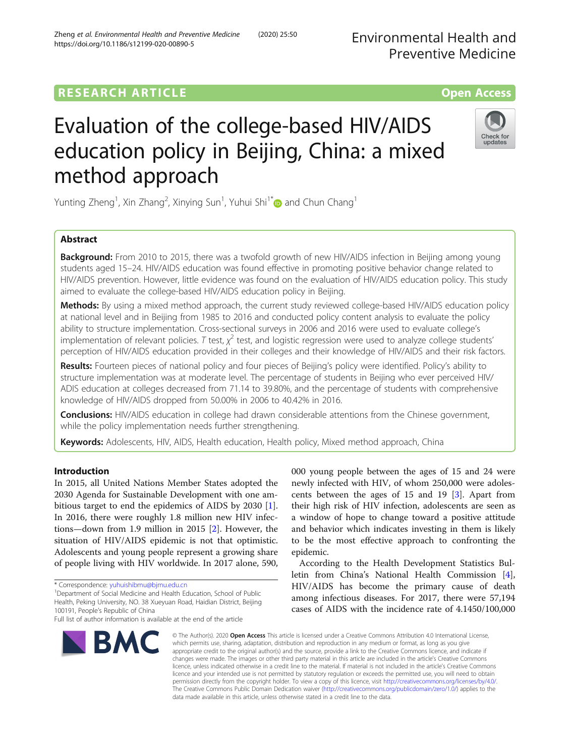# **RESEARCH ARTICLE Example 2014 12:30 The Contract of Contract ACCESS**

# Evaluation of the college-based HIV/AIDS education policy in Beijing, China: a mixed method approach

Yunting Zheng<sup>1</sup>, Xin Zhang<sup>2</sup>, Xinying Sun<sup>1</sup>, Yuhui Shi<sup>1\*</sup>@ and Chun Chang<sup>1</sup>

# Abstract

**Background:** From 2010 to 2015, there was a twofold growth of new HIV/AIDS infection in Beijing among young students aged 15–24. HIV/AIDS education was found effective in promoting positive behavior change related to HIV/AIDS prevention. However, little evidence was found on the evaluation of HIV/AIDS education policy. This study aimed to evaluate the college-based HIV/AIDS education policy in Beijing.

Methods: By using a mixed method approach, the current study reviewed college-based HIV/AIDS education policy at national level and in Beijing from 1985 to 2016 and conducted policy content analysis to evaluate the policy ability to structure implementation. Cross-sectional surveys in 2006 and 2016 were used to evaluate college's implementation of relevant policies. T test,  $\chi^2$  test, and logistic regression were used to analyze college students' perception of HIV/AIDS education provided in their colleges and their knowledge of HIV/AIDS and their risk factors.

Results: Fourteen pieces of national policy and four pieces of Beijing's policy were identified. Policy's ability to structure implementation was at moderate level. The percentage of students in Beijing who ever perceived HIV/ ADIS education at colleges decreased from 71.14 to 39.80%, and the percentage of students with comprehensive knowledge of HIV/AIDS dropped from 50.00% in 2006 to 40.42% in 2016.

**Conclusions:** HIV/AIDS education in college had drawn considerable attentions from the Chinese government, while the policy implementation needs further strengthening.

Keywords: Adolescents, HIV, AIDS, Health education, Health policy, Mixed method approach, China

# Introduction

In 2015, all United Nations Member States adopted the 2030 Agenda for Sustainable Development with one ambitious target to end the epidemics of AIDS by 2030 [\[1](#page-8-0)]. In 2016, there were roughly 1.8 million new HIV infections—down from 1.9 million in 2015 [[2](#page-8-0)]. However, the situation of HIV/AIDS epidemic is not that optimistic. Adolescents and young people represent a growing share of people living with HIV worldwide. In 2017 alone, 590,

BMC

<sup>1</sup>Department of Social Medicine and Health Education, School of Public Health, Peking University, NO. 38 Xueyuan Road, Haidian District, Beijing 100191, People's Republic of China

# © The Author(s), 2020 **Open Access** This article is licensed under a Creative Commons Attribution 4.0 International License, which permits use, sharing, adaptation, distribution and reproduction in any medium or format, as long as you give appropriate credit to the original author(s) and the source, provide a link to the Creative Commons licence, and indicate if changes were made. The images or other third party material in this article are included in the article's Creative Commons

licence, unless indicated otherwise in a credit line to the material. If material is not included in the article's Creative Commons licence and your intended use is not permitted by statutory regulation or exceeds the permitted use, you will need to obtain permission directly from the copyright holder. To view a copy of this licence, visit [http://creativecommons.org/licenses/by/4.0/.](http://creativecommons.org/licenses/by/4.0/) The Creative Commons Public Domain Dedication waiver [\(http://creativecommons.org/publicdomain/zero/1.0/](http://creativecommons.org/publicdomain/zero/1.0/)) applies to the data made available in this article, unless otherwise stated in a credit line to the data.

000 young people between the ages of 15 and 24 were newly infected with HIV, of whom 250,000 were adolescents between the ages of 15 and 19 [\[3](#page-8-0)]. Apart from their high risk of HIV infection, adolescents are seen as a window of hope to change toward a positive attitude and behavior which indicates investing in them is likely to be the most effective approach to confronting the epidemic.

According to the Health Development Statistics Bulletin from China's National Health Commission [\[4](#page-8-0)], HIV/AIDS has become the primary cause of death among infectious diseases. For 2017, there were 57,194 cases of AIDS with the incidence rate of 4.1450/100,000

Preventive Medicine

Environmental Health and





<sup>\*</sup> Correspondence: [yuhuishibmu@bjmu.edu.cn](mailto:yuhuishibmu@bjmu.edu.cn) <sup>1</sup>

Full list of author information is available at the end of the article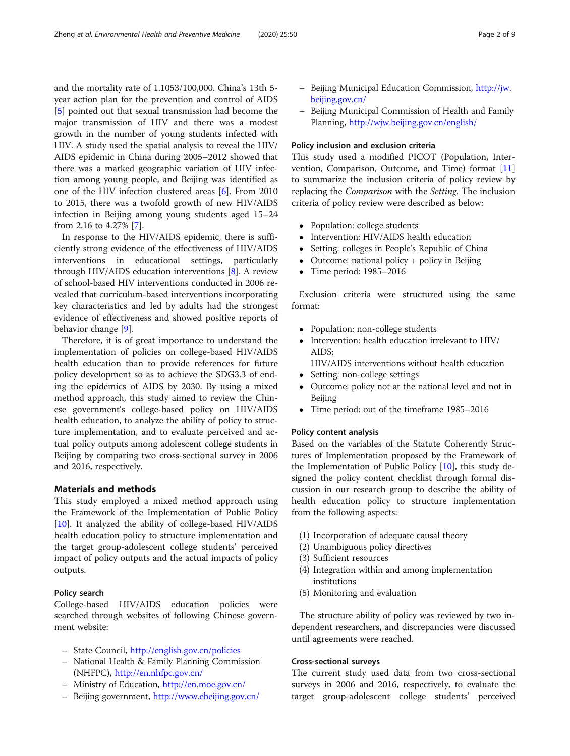and the mortality rate of 1.1053/100,000. China's 13th 5 year action plan for the prevention and control of AIDS [[5\]](#page-8-0) pointed out that sexual transmission had become the major transmission of HIV and there was a modest growth in the number of young students infected with HIV. A study used the spatial analysis to reveal the HIV/ AIDS epidemic in China during 2005–2012 showed that there was a marked geographic variation of HIV infection among young people, and Beijing was identified as one of the HIV infection clustered areas [[6](#page-8-0)]. From 2010 to 2015, there was a twofold growth of new HIV/AIDS infection in Beijing among young students aged 15–24 from 2.16 to 4.27% [\[7](#page-8-0)].

In response to the HIV/AIDS epidemic, there is sufficiently strong evidence of the effectiveness of HIV/AIDS interventions in educational settings, particularly through HIV/AIDS education interventions [\[8](#page-8-0)]. A review of school-based HIV interventions conducted in 2006 revealed that curriculum-based interventions incorporating key characteristics and led by adults had the strongest evidence of effectiveness and showed positive reports of behavior change [\[9](#page-8-0)].

Therefore, it is of great importance to understand the implementation of policies on college-based HIV/AIDS health education than to provide references for future policy development so as to achieve the SDG3.3 of ending the epidemics of AIDS by 2030. By using a mixed method approach, this study aimed to review the Chinese government's college-based policy on HIV/AIDS health education, to analyze the ability of policy to structure implementation, and to evaluate perceived and actual policy outputs among adolescent college students in Beijing by comparing two cross-sectional survey in 2006 and 2016, respectively.

# Materials and methods

This study employed a mixed method approach using the Framework of the Implementation of Public Policy [[10\]](#page-8-0). It analyzed the ability of college-based HIV/AIDS health education policy to structure implementation and the target group-adolescent college students' perceived impact of policy outputs and the actual impacts of policy outputs.

# Policy search

College-based HIV/AIDS education policies were searched through websites of following Chinese government website:

- State Council, <http://english.gov.cn/policies>
- National Health & Family Planning Commission (NHFPC), <http://en.nhfpc.gov.cn/>
- Ministry of Education, <http://en.moe.gov.cn/>
- Beijing government, <http://www.ebeijing.gov.cn/>
- Beijing Municipal Education Commission, [http://jw.](http://jw.beijing.gov.cn/) [beijing.gov.cn/](http://jw.beijing.gov.cn/)
- Beijing Municipal Commission of Health and Family Planning, <http://wjw.beijing.gov.cn/english/>

# Policy inclusion and exclusion criteria

This study used a modified PICOT (Population, Intervention, Comparison, Outcome, and Time) format [[11](#page-8-0)] to summarize the inclusion criteria of policy review by replacing the Comparison with the Setting. The inclusion criteria of policy review were described as below:

- Population: college students
- Intervention: HIV/AIDS health education<br>• Setting: colleges in People's Republic of Cl
- Setting: colleges in People's Republic of China
- Outcome: national policy + policy in Beijing
- Time period: 1985–2016

Exclusion criteria were structured using the same format:

- Population: non-college students
- Intervention: health education irrelevant to HIV/ AIDS;
- HIV/AIDS interventions without health education • Setting: non-college settings
- Outcome: policy not at the national level and not in Beijing
- Time period: out of the timeframe 1985–2016

# Policy content analysis

Based on the variables of the Statute Coherently Structures of Implementation proposed by the Framework of the Implementation of Public Policy [[10](#page-8-0)], this study designed the policy content checklist through formal discussion in our research group to describe the ability of health education policy to structure implementation from the following aspects:

- (1) Incorporation of adequate causal theory
- (2) Unambiguous policy directives
- (3) Sufficient resources
- (4) Integration within and among implementation institutions
- (5) Monitoring and evaluation

The structure ability of policy was reviewed by two independent researchers, and discrepancies were discussed until agreements were reached.

# Cross-sectional surveys

The current study used data from two cross-sectional surveys in 2006 and 2016, respectively, to evaluate the target group-adolescent college students' perceived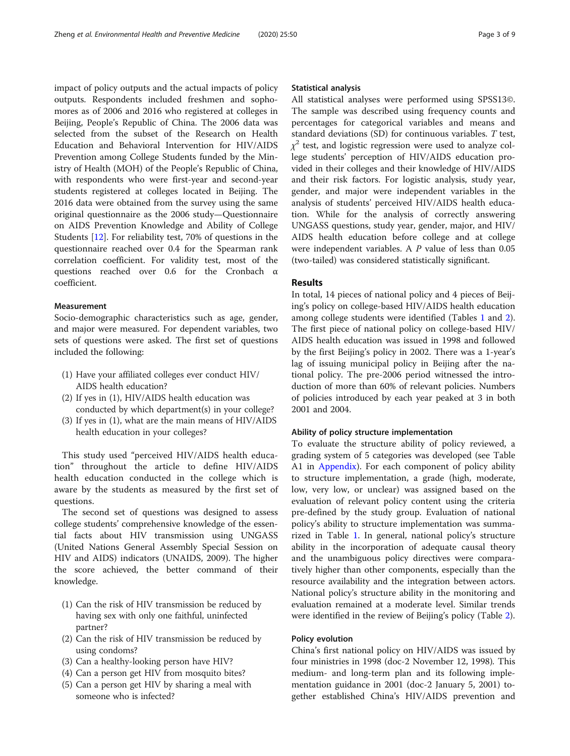impact of policy outputs and the actual impacts of policy outputs. Respondents included freshmen and sophomores as of 2006 and 2016 who registered at colleges in Beijing, People's Republic of China. The 2006 data was selected from the subset of the Research on Health Education and Behavioral Intervention for HIV/AIDS Prevention among College Students funded by the Ministry of Health (MOH) of the People's Republic of China, with respondents who were first-year and second-year students registered at colleges located in Beijing. The 2016 data were obtained from the survey using the same original questionnaire as the 2006 study—Questionnaire on AIDS Prevention Knowledge and Ability of College Students [\[12](#page-8-0)]. For reliability test, 70% of questions in the questionnaire reached over 0.4 for the Spearman rank correlation coefficient. For validity test, most of the questions reached over 0.6 for the Cronbach α coefficient.

# **Measurement**

Socio-demographic characteristics such as age, gender, and major were measured. For dependent variables, two sets of questions were asked. The first set of questions included the following:

- (1) Have your affiliated colleges ever conduct HIV/ AIDS health education?
- (2) If yes in (1), HIV/AIDS health education was conducted by which department(s) in your college?
- (3) If yes in (1), what are the main means of HIV/AIDS health education in your colleges?

This study used "perceived HIV/AIDS health education" throughout the article to define HIV/AIDS health education conducted in the college which is aware by the students as measured by the first set of questions.

The second set of questions was designed to assess college students' comprehensive knowledge of the essential facts about HIV transmission using UNGASS (United Nations General Assembly Special Session on HIV and AIDS) indicators (UNAIDS, 2009). The higher the score achieved, the better command of their knowledge.

- (1) Can the risk of HIV transmission be reduced by having sex with only one faithful, uninfected partner?
- (2) Can the risk of HIV transmission be reduced by using condoms?
- (3) Can a healthy-looking person have HIV?
- (4) Can a person get HIV from mosquito bites?
- (5) Can a person get HIV by sharing a meal with someone who is infected?

# Statistical analysis

All statistical analyses were performed using SPSS13©. The sample was described using frequency counts and percentages for categorical variables and means and standard deviations (SD) for continuous variables. T test,  $\chi^2$  test, and logistic regression were used to analyze college students' perception of HIV/AIDS education provided in their colleges and their knowledge of HIV/AIDS and their risk factors. For logistic analysis, study year, gender, and major were independent variables in the analysis of students' perceived HIV/AIDS health education. While for the analysis of correctly answering UNGASS questions, study year, gender, major, and HIV/ AIDS health education before college and at college were independent variables. A P value of less than 0.05 (two-tailed) was considered statistically significant.

# Results

In total, 14 pieces of national policy and 4 pieces of Beijing's policy on college-based HIV/AIDS health education among college students were identified (Tables [1](#page-3-0) and [2](#page-4-0)). The first piece of national policy on college-based HIV/ AIDS health education was issued in 1998 and followed by the first Beijing's policy in 2002. There was a 1-year's lag of issuing municipal policy in Beijing after the national policy. The pre-2006 period witnessed the introduction of more than 60% of relevant policies. Numbers of policies introduced by each year peaked at 3 in both 2001 and 2004.

# Ability of policy structure implementation

To evaluate the structure ability of policy reviewed, a grading system of 5 categories was developed (see Table A1 in [Appendix\)](#page-7-0). For each component of policy ability to structure implementation, a grade (high, moderate, low, very low, or unclear) was assigned based on the evaluation of relevant policy content using the criteria pre-defined by the study group. Evaluation of national policy's ability to structure implementation was summarized in Table [1](#page-3-0). In general, national policy's structure ability in the incorporation of adequate causal theory and the unambiguous policy directives were comparatively higher than other components, especially than the resource availability and the integration between actors. National policy's structure ability in the monitoring and evaluation remained at a moderate level. Similar trends were identified in the review of Beijing's policy (Table [2](#page-4-0)).

# Policy evolution

China's first national policy on HIV/AIDS was issued by four ministries in 1998 (doc-2 November 12, 1998). This medium- and long-term plan and its following implementation guidance in 2001 (doc-2 January 5, 2001) together established China's HIV/AIDS prevention and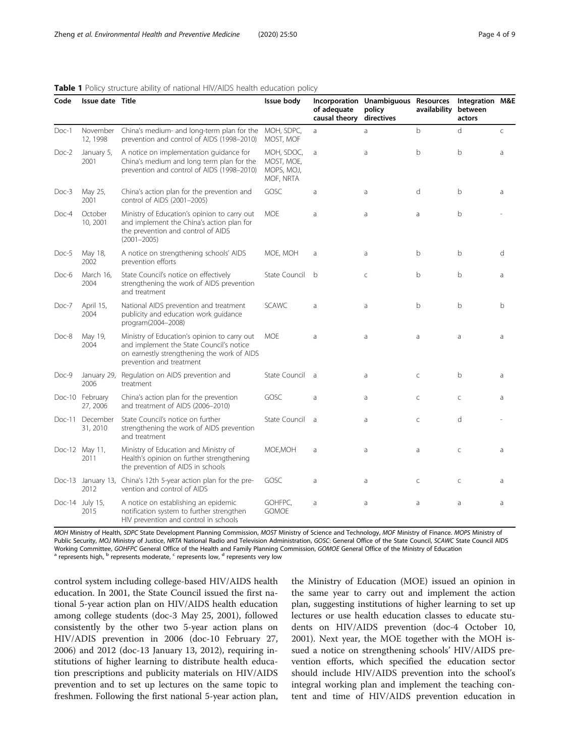| Code     | Issue date Title            |                                                                                                                                                                     | Issue body                                          | of adequate<br>causal theory | Incorporation Unambiguous Resources<br>policy<br>directives | availability between | Integration M&E<br>actors |   |
|----------|-----------------------------|---------------------------------------------------------------------------------------------------------------------------------------------------------------------|-----------------------------------------------------|------------------------------|-------------------------------------------------------------|----------------------|---------------------------|---|
| Doc-1    | November<br>12, 1998        | China's medium- and long-term plan for the<br>prevention and control of AIDS (1998-2010)                                                                            | MOH, SDPC,<br>MOST, MOF                             | a                            | a                                                           | $\mathsf{b}$         | d                         | C |
| Doc-2    | January 5,<br>2001          | A notice on implementation guidance for<br>China's medium and long term plan for the<br>prevention and control of AIDS (1998-2010)                                  | MOH, SDOC,<br>MOST, MOE,<br>MOPS, MOJ,<br>MOF, NRTA | a                            | a                                                           | b                    | b                         | a |
| Doc-3    | May 25,<br>2001             | China's action plan for the prevention and<br>control of AIDS (2001-2005)                                                                                           | GOSC                                                | a                            | a                                                           | d                    | $\mathsf{b}$              | a |
| Doc-4    | October<br>10, 2001         | Ministry of Education's opinion to carry out<br>and implement the China's action plan for<br>the prevention and control of AIDS<br>$(2001 - 2005)$                  | <b>MOE</b>                                          | a                            | a                                                           | a                    | b                         |   |
| Doc-5    | May 18,<br>2002             | A notice on strengthening schools' AIDS<br>prevention efforts                                                                                                       | MOE, MOH                                            | a                            | a                                                           | b                    | b                         | d |
| Doc-6    | March 16,<br>2004           | State Council's notice on effectively<br>strengthening the work of AIDS prevention<br>and treatment                                                                 | State Council                                       | $\mathsf{h}$                 | $\mathsf{C}$                                                | $\mathsf{h}$         | $\mathsf{b}$              | a |
| Doc-7    | April 15,<br>2004           | National AIDS prevention and treatment<br>publicity and education work guidance<br>program(2004-2008)                                                               | <b>SCAWC</b>                                        | a                            | a                                                           | b                    | b                         | b |
| Doc-8    | May 19,<br>2004             | Ministry of Education's opinion to carry out<br>and implement the State Council's notice<br>on earnestly strengthening the work of AIDS<br>prevention and treatment | <b>MOE</b>                                          | a                            | a                                                           | a                    | a                         | a |
| Doc-9    | January 29,<br>2006         | Regulation on AIDS prevention and<br>treatment                                                                                                                      | State Council a                                     |                              | a                                                           | $\mathsf{C}$         | $\mathsf{b}$              | a |
|          | Doc-10 February<br>27, 2006 | China's action plan for the prevention<br>and treatment of AIDS (2006-2010)                                                                                         | GOSC                                                | a                            | a                                                           | $\mathsf C$          | $\mathsf{C}$              | a |
| $Doc-11$ | December<br>31, 2010        | State Council's notice on further<br>strengthening the work of AIDS prevention<br>and treatment                                                                     | State Council                                       | a                            | a                                                           | C                    | d                         |   |
|          | Doc-12 May 11,<br>2011      | Ministry of Education and Ministry of<br>Health's opinion on further strengthening<br>the prevention of AIDS in schools                                             | MOE, MOH                                            | a                            | a                                                           | a                    | $\subset$                 | a |
|          | 2012                        | Doc-13 January 13, China's 12th 5-year action plan for the pre-<br>vention and control of AIDS                                                                      | GOSC                                                | a                            | a                                                           | C                    | C                         | a |
|          | Doc-14 July 15,<br>2015     | A notice on establishing an epidemic<br>notification system to further strengthen<br>HIV prevention and control in schools                                          | GOHFPC,<br><b>GOMOE</b>                             | a                            | a                                                           | a                    | a                         | a |

#### <span id="page-3-0"></span>Table 1 Policy structure ability of national HIV/AIDS health education policy

MOH Ministry of Health, SDPC State Development Planning Commission, MOST Ministry of Science and Technology, MOF Ministry of Finance. MOPS Ministry of Public Security, MOJ Ministry of Justice, NRTA National Radio and Television Administration, GOSC: General Office of the State Council, SCAWC State Council AIDS Working Committee, GOHFPC General Office of the Health and Family Planning Commission, GOMOE General Office of the Ministry of Education a represents high, <sup>b</sup> represents moderate, <sup>c</sup> represents low, <sup>d</sup> represents very l

control system including college-based HIV/AIDS health education. In 2001, the State Council issued the first national 5-year action plan on HIV/AIDS health education among college students (doc-3 May 25, 2001), followed consistently by the other two 5-year action plans on HIV/ADIS prevention in 2006 (doc-10 February 27, 2006) and 2012 (doc-13 January 13, 2012), requiring institutions of higher learning to distribute health education prescriptions and publicity materials on HIV/AIDS prevention and to set up lectures on the same topic to freshmen. Following the first national 5-year action plan,

the Ministry of Education (MOE) issued an opinion in the same year to carry out and implement the action plan, suggesting institutions of higher learning to set up lectures or use health education classes to educate students on HIV/AIDS prevention (doc-4 October 10, 2001). Next year, the MOE together with the MOH issued a notice on strengthening schools' HIV/AIDS prevention efforts, which specified the education sector should include HIV/AIDS prevention into the school's integral working plan and implement the teaching content and time of HIV/AIDS prevention education in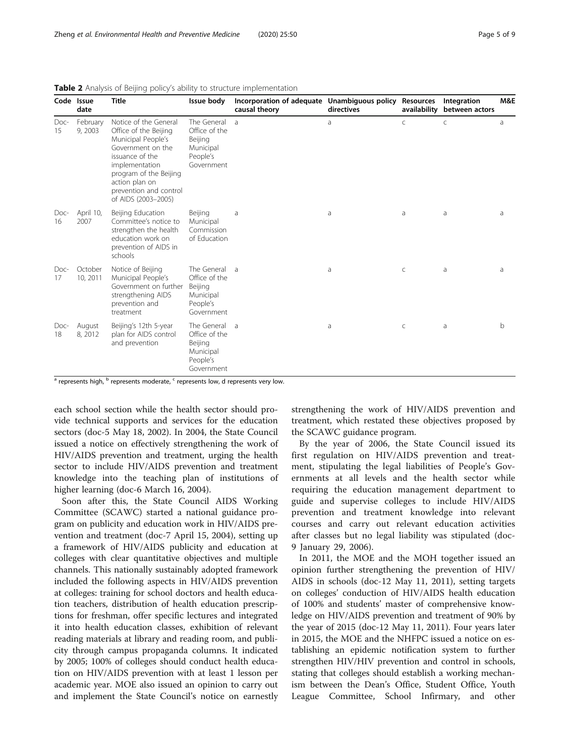|            | Code Issue<br>date  | <b>Title</b>                                                                                                                                                                                                                | Issue body                                                                     | Incorporation of adequate Unambiguous policy Resources<br>causal theory | directives | availability | Integration<br>between actors | M&E          |
|------------|---------------------|-----------------------------------------------------------------------------------------------------------------------------------------------------------------------------------------------------------------------------|--------------------------------------------------------------------------------|-------------------------------------------------------------------------|------------|--------------|-------------------------------|--------------|
| Doc-<br>15 | February<br>9, 2003 | Notice of the General<br>Office of the Beijing<br>Municipal People's<br>Government on the<br>issuance of the<br>implementation<br>program of the Beijing<br>action plan on<br>prevention and control<br>of AIDS (2003-2005) | The General<br>Office of the<br>Beijing<br>Municipal<br>People's<br>Government | $\overline{a}$                                                          | a          | $\subset$    | C                             | a            |
| Doc-<br>16 | April 10,<br>2007   | Beijing Education<br>Committee's notice to<br>strengthen the health<br>education work on<br>prevention of AIDS in<br>schools                                                                                                | Beijing<br>Municipal<br>Commission<br>of Education                             | a                                                                       | a          | a            | a                             | a            |
| Doc-<br>17 | October<br>10, 2011 | Notice of Beijing<br>Municipal People's<br>Government on further<br>strengthening AIDS<br>prevention and<br>treatment                                                                                                       | The General<br>Office of the<br>Beijing<br>Municipal<br>People's<br>Government | $\overline{a}$                                                          | a          | $\mathsf{C}$ | a                             | a            |
| Doc-<br>18 | August<br>8, 2012   | Beijing's 12th 5-year<br>plan for AIDS control<br>and prevention                                                                                                                                                            | The General<br>Office of the<br>Beijing<br>Municipal<br>People's<br>Government | $\overline{a}$                                                          | a          | C            | a                             | <sub>b</sub> |

<span id="page-4-0"></span>

| Table 2 Analysis of Beijing policy's ability to structure implementation |  |
|--------------------------------------------------------------------------|--|
|--------------------------------------------------------------------------|--|

<sup>a</sup> represents high, <sup>b</sup> represents moderate, <sup>c</sup> represents low, d represents very low.

each school section while the health sector should provide technical supports and services for the education sectors (doc-5 May 18, 2002). In 2004, the State Council issued a notice on effectively strengthening the work of HIV/AIDS prevention and treatment, urging the health sector to include HIV/AIDS prevention and treatment knowledge into the teaching plan of institutions of higher learning (doc-6 March 16, 2004).

Soon after this, the State Council AIDS Working Committee (SCAWC) started a national guidance program on publicity and education work in HIV/AIDS prevention and treatment (doc-7 April 15, 2004), setting up a framework of HIV/AIDS publicity and education at colleges with clear quantitative objectives and multiple channels. This nationally sustainably adopted framework included the following aspects in HIV/AIDS prevention at colleges: training for school doctors and health education teachers, distribution of health education prescriptions for freshman, offer specific lectures and integrated it into health education classes, exhibition of relevant reading materials at library and reading room, and publicity through campus propaganda columns. It indicated by 2005; 100% of colleges should conduct health education on HIV/AIDS prevention with at least 1 lesson per academic year. MOE also issued an opinion to carry out and implement the State Council's notice on earnestly strengthening the work of HIV/AIDS prevention and treatment, which restated these objectives proposed by the SCAWC guidance program.

By the year of 2006, the State Council issued its first regulation on HIV/AIDS prevention and treatment, stipulating the legal liabilities of People's Governments at all levels and the health sector while requiring the education management department to guide and supervise colleges to include HIV/AIDS prevention and treatment knowledge into relevant courses and carry out relevant education activities after classes but no legal liability was stipulated (doc-9 January 29, 2006).

In 2011, the MOE and the MOH together issued an opinion further strengthening the prevention of HIV/ AIDS in schools (doc-12 May 11, 2011), setting targets on colleges' conduction of HIV/AIDS health education of 100% and students' master of comprehensive knowledge on HIV/AIDS prevention and treatment of 90% by the year of 2015 (doc-12 May 11, 2011). Four years later in 2015, the MOE and the NHFPC issued a notice on establishing an epidemic notification system to further strengthen HIV/HIV prevention and control in schools, stating that colleges should establish a working mechanism between the Dean's Office, Student Office, Youth League Committee, School Infirmary, and other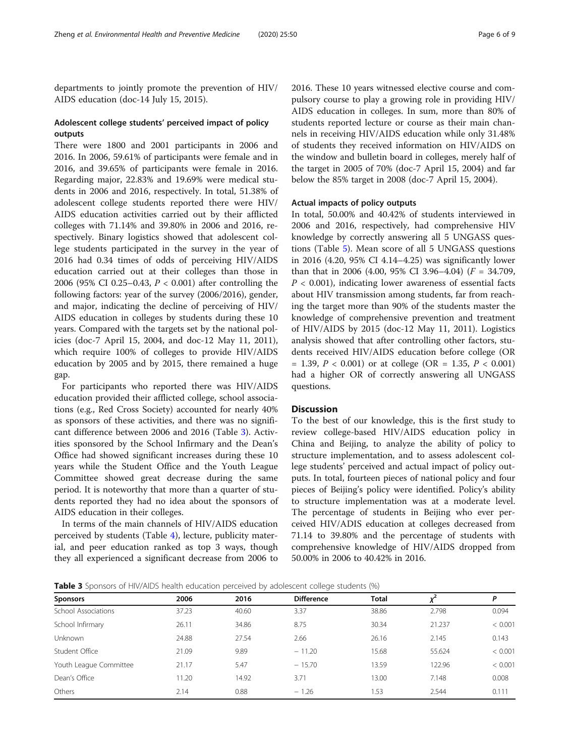departments to jointly promote the prevention of HIV/ AIDS education (doc-14 July 15, 2015).

# Adolescent college students' perceived impact of policy outputs

There were 1800 and 2001 participants in 2006 and 2016. In 2006, 59.61% of participants were female and in 2016, and 39.65% of participants were female in 2016. Regarding major, 22.83% and 19.69% were medical students in 2006 and 2016, respectively. In total, 51.38% of adolescent college students reported there were HIV/ AIDS education activities carried out by their afflicted colleges with 71.14% and 39.80% in 2006 and 2016, respectively. Binary logistics showed that adolescent college students participated in the survey in the year of 2016 had 0.34 times of odds of perceiving HIV/AIDS education carried out at their colleges than those in 2006 (95% CI 0.25–0.43, P < 0.001) after controlling the following factors: year of the survey (2006/2016), gender, and major, indicating the decline of perceiving of HIV/ AIDS education in colleges by students during these 10 years. Compared with the targets set by the national policies (doc-7 April 15, 2004, and doc-12 May 11, 2011), which require 100% of colleges to provide HIV/AIDS education by 2005 and by 2015, there remained a huge gap.

For participants who reported there was HIV/AIDS education provided their afflicted college, school associations (e.g., Red Cross Society) accounted for nearly 40% as sponsors of these activities, and there was no significant difference between 2006 and 2016 (Table 3). Activities sponsored by the School Infirmary and the Dean's Office had showed significant increases during these 10 years while the Student Office and the Youth League Committee showed great decrease during the same period. It is noteworthy that more than a quarter of students reported they had no idea about the sponsors of AIDS education in their colleges.

In terms of the main channels of HIV/AIDS education perceived by students (Table [4](#page-6-0)), lecture, publicity material, and peer education ranked as top 3 ways, though they all experienced a significant decrease from 2006 to 2016. These 10 years witnessed elective course and compulsory course to play a growing role in providing HIV/ AIDS education in colleges. In sum, more than 80% of students reported lecture or course as their main channels in receiving HIV/AIDS education while only 31.48% of students they received information on HIV/AIDS on the window and bulletin board in colleges, merely half of the target in 2005 of 70% (doc-7 April 15, 2004) and far below the 85% target in 2008 (doc-7 April 15, 2004).

# Actual impacts of policy outputs

In total, 50.00% and 40.42% of students interviewed in 2006 and 2016, respectively, had comprehensive HIV knowledge by correctly answering all 5 UNGASS questions (Table [5](#page-6-0)). Mean score of all 5 UNGASS questions in 2016 (4.20, 95% CI 4.14–4.25) was significantly lower than that in 2006 (4.00, 95% CI 3.96–4.04) ( $F = 34.709$ ,  $P < 0.001$ ), indicating lower awareness of essential facts about HIV transmission among students, far from reaching the target more than 90% of the students master the knowledge of comprehensive prevention and treatment of HIV/AIDS by 2015 (doc-12 May 11, 2011). Logistics analysis showed that after controlling other factors, students received HIV/AIDS education before college (OR  $= 1.39, P < 0.001$  or at college (OR  $= 1.35, P < 0.001$ ) had a higher OR of correctly answering all UNGASS questions.

# **Discussion**

To the best of our knowledge, this is the first study to review college-based HIV/AIDS education policy in China and Beijing, to analyze the ability of policy to structure implementation, and to assess adolescent college students' perceived and actual impact of policy outputs. In total, fourteen pieces of national policy and four pieces of Beijing's policy were identified. Policy's ability to structure implementation was at a moderate level. The percentage of students in Beijing who ever perceived HIV/ADIS education at colleges decreased from 71.14 to 39.80% and the percentage of students with comprehensive knowledge of HIV/AIDS dropped from 50.00% in 2006 to 40.42% in 2016.

**Table 3** Sponsors of HIV/AIDS health education perceived by adolescent college students (%)

| <b>Sponsors</b>        | 2006  | 2016  | <b>Difference</b> | <b>Total</b> |        | P       |
|------------------------|-------|-------|-------------------|--------------|--------|---------|
| School Associations    | 37.23 | 40.60 | 3.37              | 38.86        | 2.798  | 0.094   |
| School Infirmary       | 26.11 | 34.86 | 8.75              | 30.34        | 21.237 | < 0.001 |
| <b>Unknown</b>         | 24.88 | 27.54 | 2.66              | 26.16        | 2.145  | 0.143   |
| Student Office         | 21.09 | 9.89  | $-11.20$          | 15.68        | 55.624 | < 0.001 |
| Youth League Committee | 21.17 | 5.47  | $-15.70$          | 13.59        | 122.96 | < 0.001 |
| Dean's Office          | 11.20 | 14.92 | 3.71              | 13.00        | 7.148  | 0.008   |
| Others                 | 2.14  | 0.88  | $-1.26$           | 1.53         | 2.544  | 0.111   |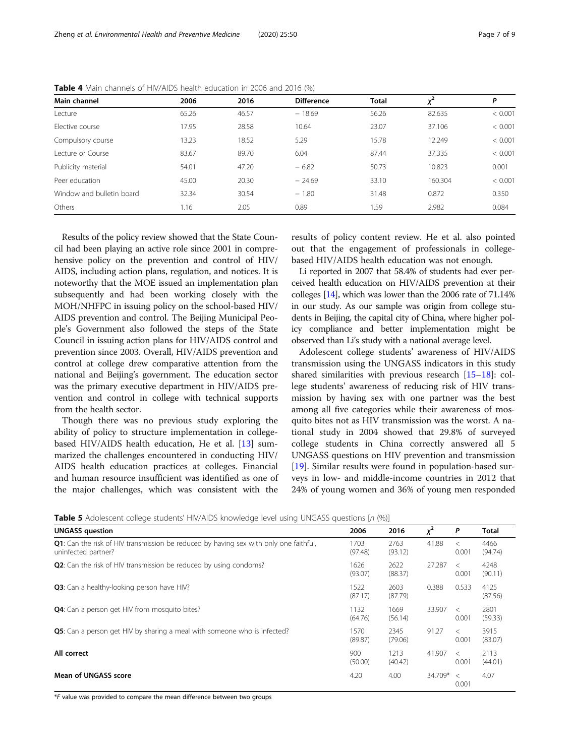| Main channel              | 2006  | 2016  | <b>Difference</b> | <b>Total</b> |         | Ρ       |
|---------------------------|-------|-------|-------------------|--------------|---------|---------|
| Lecture                   | 65.26 | 46.57 | $-18.69$          | 56.26        | 82.635  | < 0.001 |
| Elective course           | 17.95 | 28.58 | 10.64             | 23.07        | 37.106  | < 0.001 |
| Compulsory course         | 13.23 | 18.52 | 5.29              | 15.78        | 12.249  | < 0.001 |
| Lecture or Course         | 83.67 | 89.70 | 6.04              | 87.44        | 37.335  | < 0.001 |
| Publicity material        | 54.01 | 47.20 | $-6.82$           | 50.73        | 10.823  | 0.001   |
| Peer education            | 45.00 | 20.30 | $-24.69$          | 33.10        | 160.304 | < 0.001 |
| Window and bulletin board | 32.34 | 30.54 | $-1.80$           | 31.48        | 0.872   | 0.350   |
| Others                    | 1.16  | 2.05  | 0.89              | 1.59         | 2.982   | 0.084   |

<span id="page-6-0"></span>Table 4 Main channels of HIV/AIDS health education in 2006 and 2016 (%)

Results of the policy review showed that the State Council had been playing an active role since 2001 in comprehensive policy on the prevention and control of HIV/ AIDS, including action plans, regulation, and notices. It is noteworthy that the MOE issued an implementation plan subsequently and had been working closely with the MOH/NHFPC in issuing policy on the school-based HIV/ AIDS prevention and control. The Beijing Municipal People's Government also followed the steps of the State Council in issuing action plans for HIV/AIDS control and prevention since 2003. Overall, HIV/AIDS prevention and control at college drew comparative attention from the national and Beijing's government. The education sector was the primary executive department in HIV/AIDS prevention and control in college with technical supports from the health sector.

Though there was no previous study exploring the ability of policy to structure implementation in collegebased HIV/AIDS health education, He et al. [\[13](#page-8-0)] summarized the challenges encountered in conducting HIV/ AIDS health education practices at colleges. Financial and human resource insufficient was identified as one of the major challenges, which was consistent with the results of policy content review. He et al. also pointed out that the engagement of professionals in collegebased HIV/AIDS health education was not enough.

Li reported in 2007 that 58.4% of students had ever perceived health education on HIV/AIDS prevention at their colleges [\[14](#page-8-0)], which was lower than the 2006 rate of 71.14% in our study. As our sample was origin from college students in Beijing, the capital city of China, where higher policy compliance and better implementation might be observed than Li's study with a national average level.

Adolescent college students' awareness of HIV/AIDS transmission using the UNGASS indicators in this study shared similarities with previous research [[15](#page-8-0)–[18](#page-8-0)]: college students' awareness of reducing risk of HIV transmission by having sex with one partner was the best among all five categories while their awareness of mosquito bites not as HIV transmission was the worst. A national study in 2004 showed that 29.8% of surveyed college students in China correctly answered all 5 UNGASS questions on HIV prevention and transmission [[19\]](#page-8-0). Similar results were found in population-based surveys in low- and middle-income countries in 2012 that 24% of young women and 36% of young men responded

|  | Table 5 Adolescent college students' HIV/AIDS knowledge level using UNGASS questions [n (%)] |  |  |  |
|--|----------------------------------------------------------------------------------------------|--|--|--|
|  |                                                                                              |  |  |  |

| <b>UNGASS</b> question                                                                                               | 2006            | 2016            | $x^2$   | P                | <b>Total</b>    |
|----------------------------------------------------------------------------------------------------------------------|-----------------|-----------------|---------|------------------|-----------------|
| <b>Q1</b> : Can the risk of HIV transmission be reduced by having sex with only one faithful,<br>uninfected partner? | 1703<br>(97.48) | 2763<br>(93.12) | 41.88   | $\lt$<br>0.001   | 4466<br>(94.74) |
| <b>Q2</b> : Can the risk of HIV transmission be reduced by using condoms?                                            | 1626<br>(93.07) | 2622<br>(88.37) | 27.287  | $\,<\,$<br>0.001 | 4248<br>(90.11) |
| Q3: Can a healthy-looking person have HIV?                                                                           | 1522<br>(87.17) | 2603<br>(87.79) | 0.388   | 0.533            | 4125<br>(87.56) |
| <b>Q4</b> : Can a person get HIV from mosquito bites?                                                                | 1132<br>(64.76) | 1669<br>(56.14) | 33.907  | $\,<\,$<br>0.001 | 2801<br>(59.33) |
| <b>Q5:</b> Can a person get HIV by sharing a meal with someone who is infected?                                      | 1570<br>(89.87) | 2345<br>(79.06) | 91.27   | $\,<\,$<br>0.001 | 3915<br>(83.07) |
| All correct                                                                                                          | 900<br>(50.00)  | 1213<br>(40.42) | 41.907  | $\lt$<br>0.001   | 2113<br>(44.01) |
| <b>Mean of UNGASS score</b>                                                                                          | 4.20            | 4.00            | 34.709* | $\,<\,$<br>0.001 | 4.07            |

\*F value was provided to compare the mean difference between two groups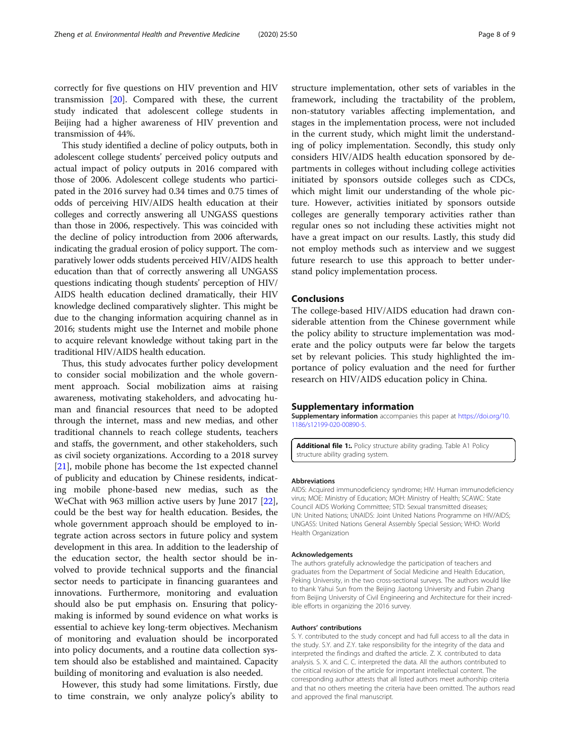<span id="page-7-0"></span>correctly for five questions on HIV prevention and HIV transmission [[20\]](#page-8-0). Compared with these, the current study indicated that adolescent college students in Beijing had a higher awareness of HIV prevention and transmission of 44%.

This study identified a decline of policy outputs, both in adolescent college students' perceived policy outputs and actual impact of policy outputs in 2016 compared with those of 2006. Adolescent college students who participated in the 2016 survey had 0.34 times and 0.75 times of odds of perceiving HIV/AIDS health education at their colleges and correctly answering all UNGASS questions than those in 2006, respectively. This was coincided with the decline of policy introduction from 2006 afterwards, indicating the gradual erosion of policy support. The comparatively lower odds students perceived HIV/AIDS health education than that of correctly answering all UNGASS questions indicating though students' perception of HIV/ AIDS health education declined dramatically, their HIV knowledge declined comparatively slighter. This might be due to the changing information acquiring channel as in 2016; students might use the Internet and mobile phone to acquire relevant knowledge without taking part in the traditional HIV/AIDS health education.

Thus, this study advocates further policy development to consider social mobilization and the whole government approach. Social mobilization aims at raising awareness, motivating stakeholders, and advocating human and financial resources that need to be adopted through the internet, mass and new medias, and other traditional channels to reach college students, teachers and staffs, the government, and other stakeholders, such as civil society organizations. According to a 2018 survey [[21\]](#page-8-0), mobile phone has become the 1st expected channel of publicity and education by Chinese residents, indicating mobile phone-based new medias, such as the WeChat with 963 million active users by June 2017 [\[22](#page-8-0)], could be the best way for health education. Besides, the whole government approach should be employed to integrate action across sectors in future policy and system development in this area. In addition to the leadership of the education sector, the health sector should be involved to provide technical supports and the financial sector needs to participate in financing guarantees and innovations. Furthermore, monitoring and evaluation should also be put emphasis on. Ensuring that policymaking is informed by sound evidence on what works is essential to achieve key long-term objectives. Mechanism of monitoring and evaluation should be incorporated into policy documents, and a routine data collection system should also be established and maintained. Capacity building of monitoring and evaluation is also needed.

However, this study had some limitations. Firstly, due to time constrain, we only analyze policy's ability to structure implementation, other sets of variables in the framework, including the tractability of the problem, non-statutory variables affecting implementation, and stages in the implementation process, were not included in the current study, which might limit the understanding of policy implementation. Secondly, this study only considers HIV/AIDS health education sponsored by departments in colleges without including college activities initiated by sponsors outside colleges such as CDCs, which might limit our understanding of the whole picture. However, activities initiated by sponsors outside colleges are generally temporary activities rather than regular ones so not including these activities might not have a great impact on our results. Lastly, this study did not employ methods such as interview and we suggest future research to use this approach to better understand policy implementation process.

#### Conclusions

The college-based HIV/AIDS education had drawn considerable attention from the Chinese government while the policy ability to structure implementation was moderate and the policy outputs were far below the targets set by relevant policies. This study highlighted the importance of policy evaluation and the need for further research on HIV/AIDS education policy in China.

#### Supplementary information

Supplementary information accompanies this paper at [https://doi.org/10.](https://doi.org/10.1186/s12199-020-00890-5) [1186/s12199-020-00890-5](https://doi.org/10.1186/s12199-020-00890-5).

Additional file 1:. Policy structure ability grading. Table A1 Policy structure ability grading system.

#### Abbreviations

AIDS: Acquired immunodeficiency syndrome; HIV: Human immunodeficiency virus; MOE: Ministry of Education; MOH: Ministry of Health; SCAWC: State Council AIDS Working Committee; STD: Sexual transmitted diseases; UN: United Nations; UNAIDS: Joint United Nations Programme on HIV/AIDS; UNGASS: United Nations General Assembly Special Session; WHO: World Health Organization

#### Acknowledgements

The authors gratefully acknowledge the participation of teachers and graduates from the Department of Social Medicine and Health Education, Peking University, in the two cross-sectional surveys. The authors would like to thank Yahui Sun from the Beijing Jiaotong University and Fubin Zhang from Beijing University of Civil Engineering and Architecture for their incredible efforts in organizing the 2016 survey.

#### Authors' contributions

S. Y. contributed to the study concept and had full access to all the data in the study. S.Y. and Z.Y. take responsibility for the integrity of the data and interpreted the findings and drafted the article. Z. X. contributed to data analysis. S. X. and C. C. interpreted the data. All the authors contributed to the critical revision of the article for important intellectual content. The corresponding author attests that all listed authors meet authorship criteria and that no others meeting the criteria have been omitted. The authors read and approved the final manuscript.